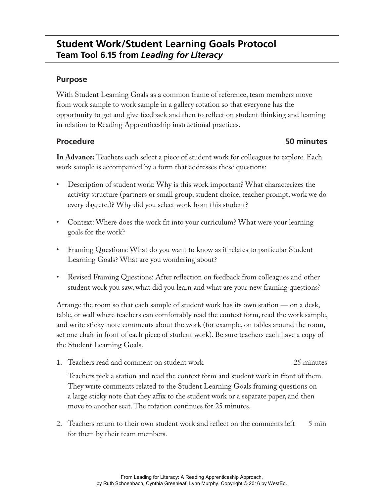# **Student Work/Student Learning Goals Protocol Team Tool 6.15 from** *Leading for Literacy*

# **Purpose**

With Student Learning Goals as a common frame of reference, team members move from work sample to work sample in a gallery rotation so that everyone has the opportunity to get and give feedback and then to reflect on student thinking and learning in relation to Reading Apprenticeship instructional practices.

## **Procedure 50 minutes**

**In Advance:** Teachers each select a piece of student work for colleagues to explore. Each work sample is accompanied by a form that addresses these questions:

- Description of student work: Why is this work important? What characterizes the activity structure (partners or small group, student choice, teacher prompt, work we do every day, etc.)? Why did you select work from this student?
- Context: Where does the work fit into your curriculum? What were your learning goals for the work?
- Framing Questions: What do you want to know as it relates to particular Student Learning Goals? What are you wondering about?
- Revised Framing Questions: After reflection on feedback from colleagues and other student work you saw, what did you learn and what are your new framing questions?

Arrange the room so that each sample of student work has its own station — on a desk, table, or wall where teachers can comfortably read the context form, read the work sample, and write sticky-note comments about the work (for example, on tables around the room, set one chair in front of each piece of student work). Be sure teachers each have a copy of the Student Learning Goals.

1. Teachers read and comment on student work 25 minutes

Teachers pick a station and read the context form and student work in front of them. They write comments related to the Student Learning Goals framing questions on a large sticky note that they affix to the student work or a separate paper, and then move to another seat. The rotation continues for 25 minutes.

2. Teachers return to their own student work and reflect on the comments left 5 min for them by their team members.